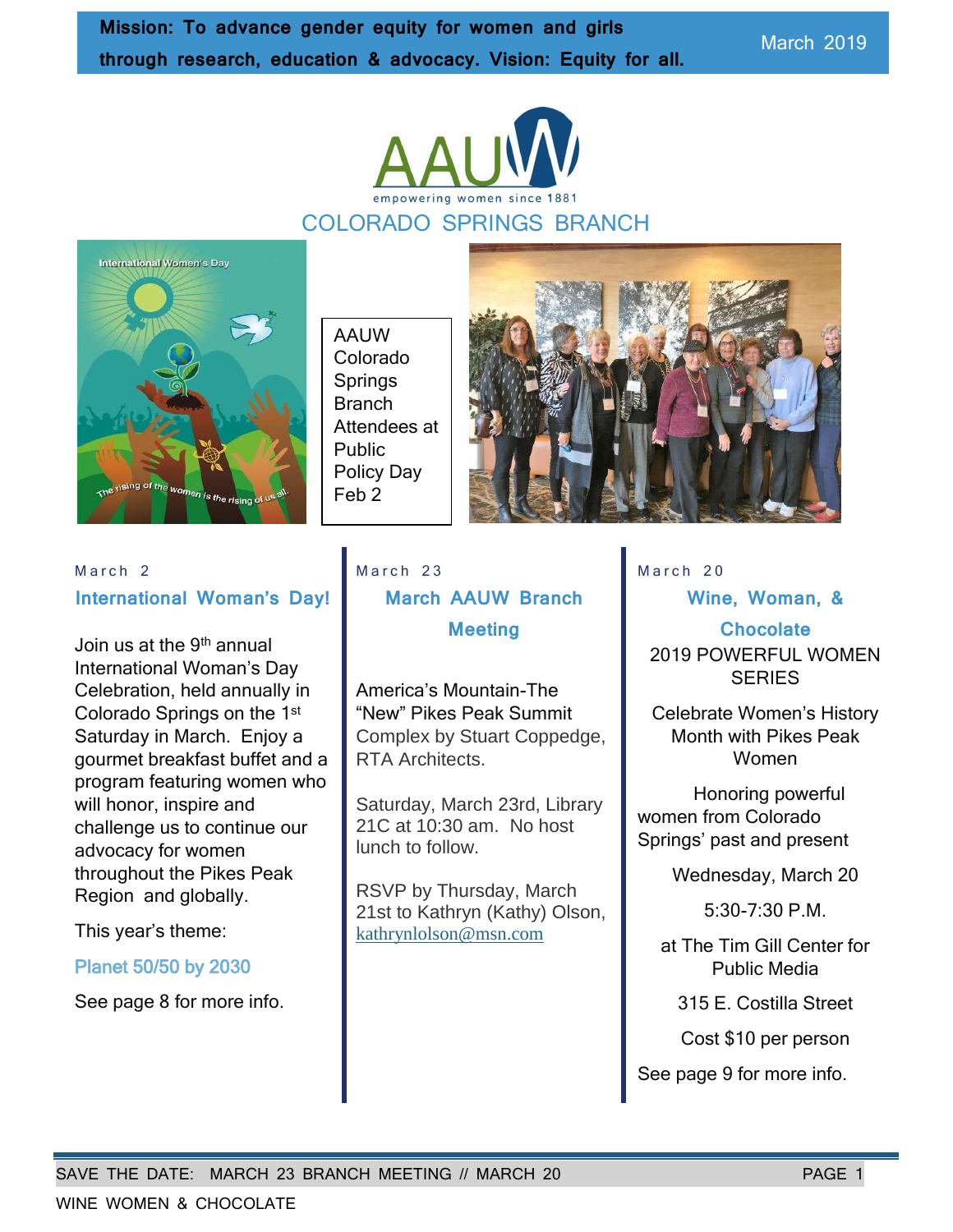March 2019



# COLORADO SPRINGS BRANCH



AAUW Colorado **Springs** Branch Attendees at Public Policy Day Feb 2



#### March<sub>2</sub> **International Woman's Day!**

Join us at the 9th annual International Woman's Day Celebration, held annually in Colorado Springs on the 1st Saturday in March. Enjoy a gourmet breakfast buffet and a program featuring women who will honor, inspire and challenge us to continue our advocacy for women throughout the Pikes Peak Region and globally.

This year's theme:

#### Planet 50/50 by 2030

See page 8 for more info.

March 23 **March AAUW Branch Meeting**

America's Mountain-The "New" Pikes Peak Summit Complex by Stuart Coppedge, RTA Architects.

Saturday, March 23rd, Library 21C at 10:30 am. No host lunch to follow.

RSVP by Thursday, March 21st to Kathryn (Kathy) Olson, [kathrynlolson@msn.com](mailto:kathrynlolson@msn.com)

March 20

**Wine, Woman, &** 

**Chocolate** 2019 POWERFUL WOMEN **SERIES** 

Celebrate Women's History Month with Pikes Peak Women

Honoring powerful women from Colorado Springs' past and present

Wednesday, March 20

5:30-7:30 P.M.

at The Tim Gill Center for Public Media

315 E. Costilla Street

Cost \$10 per person

See page 9 for more info.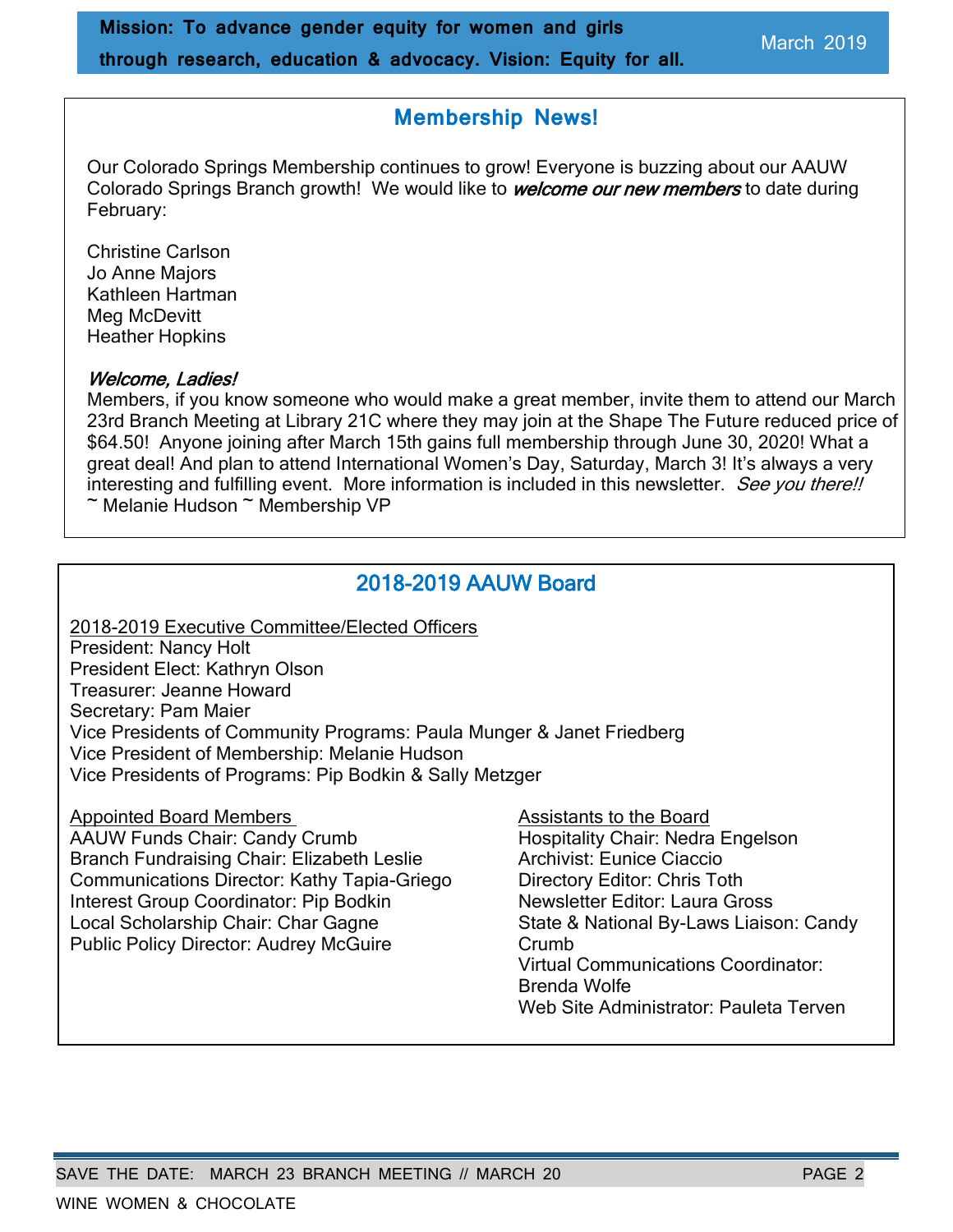## **Membership News!**

Our Colorado Springs Membership continues to grow! Everyone is buzzing about our AAUW Colorado Springs Branch growth! We would like to **welcome our new members** to date during February:

Christine Carlson Jo Anne Majors Kathleen Hartman Meg McDevitt Heather Hopkins

#### Welcome, Ladies!

Members, if you know someone who would make a great member, invite them to attend our March 23rd Branch Meeting at Library 21C where they may join at the Shape The Future reduced price of \$64.50! Anyone joining after March 15th gains full membership through June 30, 2020! What a great deal! And plan to attend International Women's Day, Saturday, March 3! It's always a very interesting and fulfilling event. More information is included in this newsletter. See you there!! ~ Melanie Hudson ~ Membership VP

# 2018-2019 AAUW Board

2018-2019 Executive Committee/Elected Officers President: Nancy Holt President Elect: Kathryn Olson Treasurer: Jeanne Howard Secretary: Pam Maier Vice Presidents of Community Programs: Paula Munger & Janet Friedberg Vice President of Membership: Melanie Hudson Vice Presidents of Programs: Pip Bodkin & Sally Metzger

Appointed Board Members Assistants to the Board

AAUW Funds Chair: Candy Crumb Hospitality Chair: Nedra Engelson Branch Fundraising Chair: Elizabeth Leslie **Archivist: Eunice Ciaccio** Communications Director: Kathy Tapia-Griego Directory Editor: Chris Toth Interest Group Coordinator: Pip Bodkin Newsletter Editor: Laura Gross Local Scholarship Chair: Char Gagne State & National By-Laws Liaison: Candy Public Policy Director: Audrey McGuire Crumb

Virtual Communications Coordinator: Brenda Wolfe Web Site Administrator: Pauleta Terven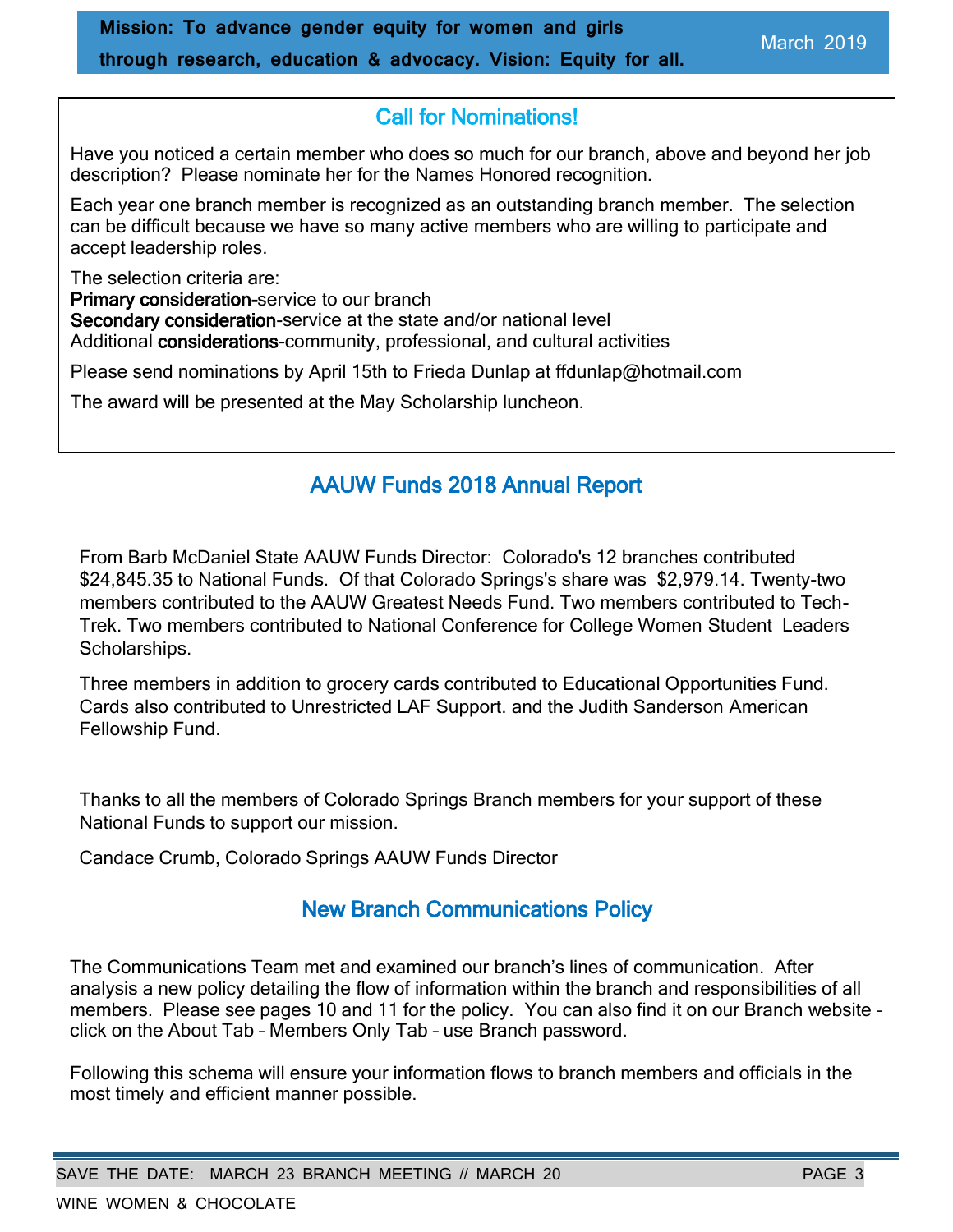# Call for Nominations!

Have you noticed a certain member who does so much for our branch, above and beyond her job description? Please nominate her for the Names Honored recognition.

Each year one branch member is recognized as an outstanding branch member. The selection can be difficult because we have so many active members who are willing to participate and accept leadership roles.

The selection criteria are: Primary consideration-service to our branch Secondary consideration-service at the state and/or national level Additional considerations-community, professional, and cultural activities

Please send nominations by April 15th to Frieda Dunlap at ffdunlap@hotmail.com

The award will be presented at the May Scholarship luncheon.

## AAUW Funds 2018 Annual Report

From Barb McDaniel State AAUW Funds Director: Colorado's 12 branches contributed \$24,845.35 to National Funds. Of that Colorado Springs's share was \$2,979.14. Twenty-two members contributed to the AAUW Greatest Needs Fund. Two members contributed to Tech-Trek. Two members contributed to National Conference for College Women Student Leaders Scholarships.

Three members in addition to grocery cards contributed to Educational Opportunities Fund. Cards also contributed to Unrestricted LAF Support. and the Judith Sanderson American Fellowship Fund.

Thanks to all the members of Colorado Springs Branch members for your support of these National Funds to support our mission.

Candace Crumb, Colorado Springs AAUW Funds Director

## New Branch Communications Policy

The Communications Team met and examined our branch's lines of communication. After analysis a new policy detailing the flow of information within the branch and responsibilities of all members. Please see pages 10 and 11 for the policy. You can also find it on our Branch website – click on the About Tab – Members Only Tab – use Branch password.

Following this schema will ensure your information flows to branch members and officials in the most timely and efficient manner possible.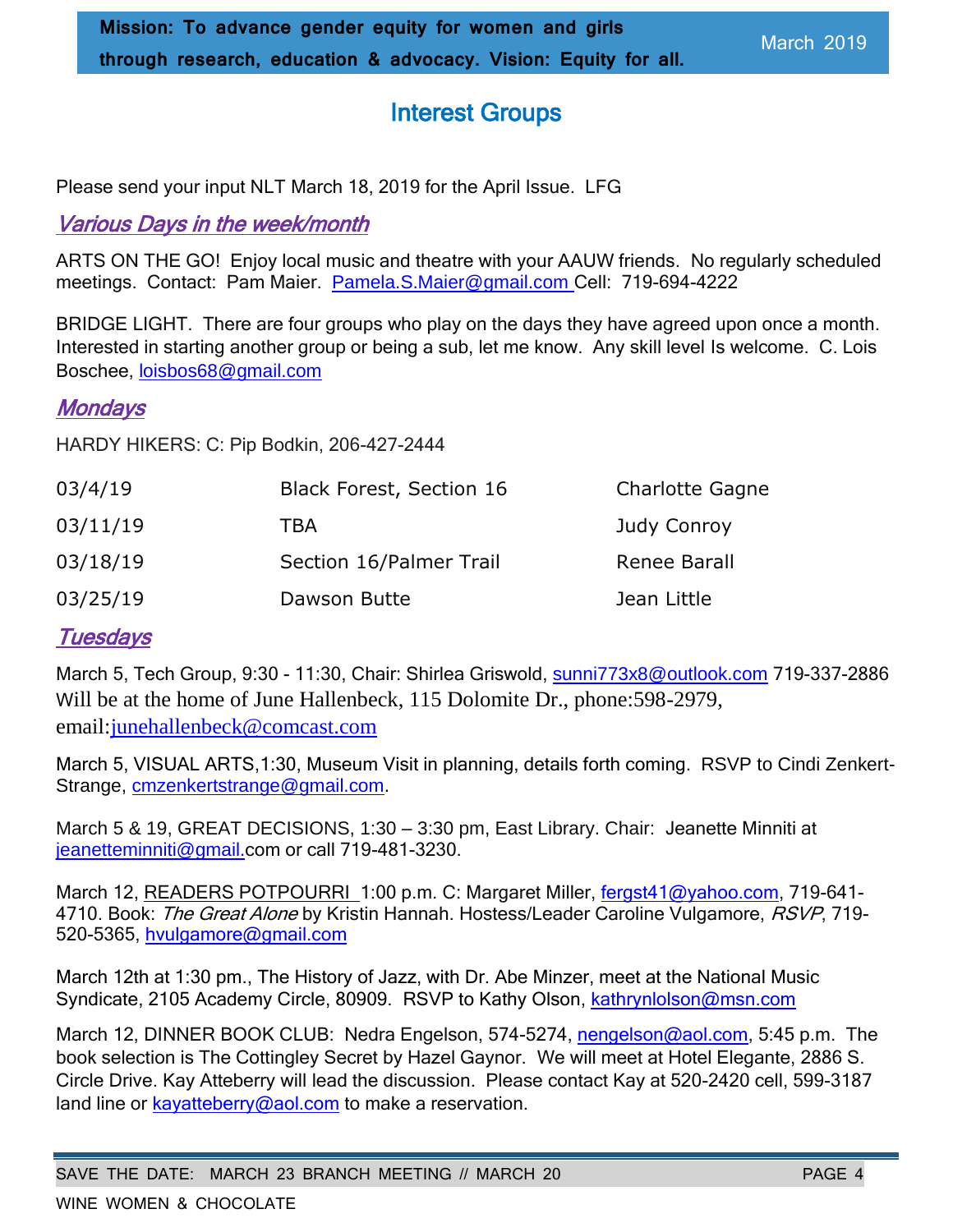# Interest Groups

Please send your input NLT March 18, 2019 for the April Issue. LFG

#### Various Days in the week/month

ARTS ON THE GO! Enjoy local music and theatre with your AAUW friends. No regularly scheduled meetings. Contact: Pam Maier. [Pamela.S.Maier@gmail.com](mailto:Pamela.S.Maier@gmail.com) Cell: 719-694-4222

BRIDGE LIGHT. There are four groups who play on the days they have agreed upon once a month. Interested in starting another group or being a sub, let me know. Any skill level Is welcome. C. Lois Boschee, loisbos68@gmail.com

#### **Mondays**

HARDY HIKERS: C: Pip Bodkin, 206-427-2444

| 03/4/19  | <b>Black Forest, Section 16</b> | <b>Charlotte Gagne</b> |
|----------|---------------------------------|------------------------|
| 03/11/19 | TBA                             | Judy Conroy            |
| 03/18/19 | Section 16/Palmer Trail         | Renee Barall           |
| 03/25/19 | Dawson Butte                    | Jean Little            |

#### **Tuesdays**

March 5, Tech Group, 9:30 - 11:30, Chair: Shirlea Griswold, sunni773x8@outlook.com 719-337-2886 Will be at the home of June Hallenbeck, 115 Dolomite Dr., phone:598-2979, email[:junehallenbeck@comcast.com](mailto:junehallenbeck@comcast.com)

March 5, VISUAL ARTS,1:30, Museum Visit in planning, details forth coming. RSVP to Cindi Zenkert-Strange, [cmzenkertstrange@gmail.com.](mailto:cmzenkertstrange@gmail.com)

March 5 & 19, GREAT DECISIONS, 1:30 – 3:30 pm, East Library. Chair: Jeanette Minniti at jeanetteminniti@gmail.com or call 719-481-3230.

March 12, READERS POTPOURRI 1:00 p.m. C: Margaret Miller, [fergst41@yahoo.com,](mailto:fergst41@yahoo.com) 719-641-4710. Book: The Great Alone by Kristin Hannah. Hostess/Leader Caroline Vulgamore, RSVP, 719-520-5365, [hvulgamore@gmail.com](mailto:hvulgamore@gmail.com)

March 12th at 1:30 pm., The History of Jazz, with Dr. Abe Minzer, meet at the National Music Syndicate, 2105 Academy Circle, 80909. RSVP to Kathy Olson, kathrynlolson@msn.com

March 12, DINNER BOOK CLUB: Nedra Engelson, 574-5274, [nengelson@aol.com,](mailto:nengelson@aol.com) 5:45 p.m. The book selection is The Cottingley Secret by Hazel Gaynor. We will meet at Hotel Elegante, 2886 S. Circle Drive. Kay Atteberry will lead the discussion. Please contact Kay at 520-2420 cell, 599-3187 land line or kayatteberry@aol.com to make a reservation.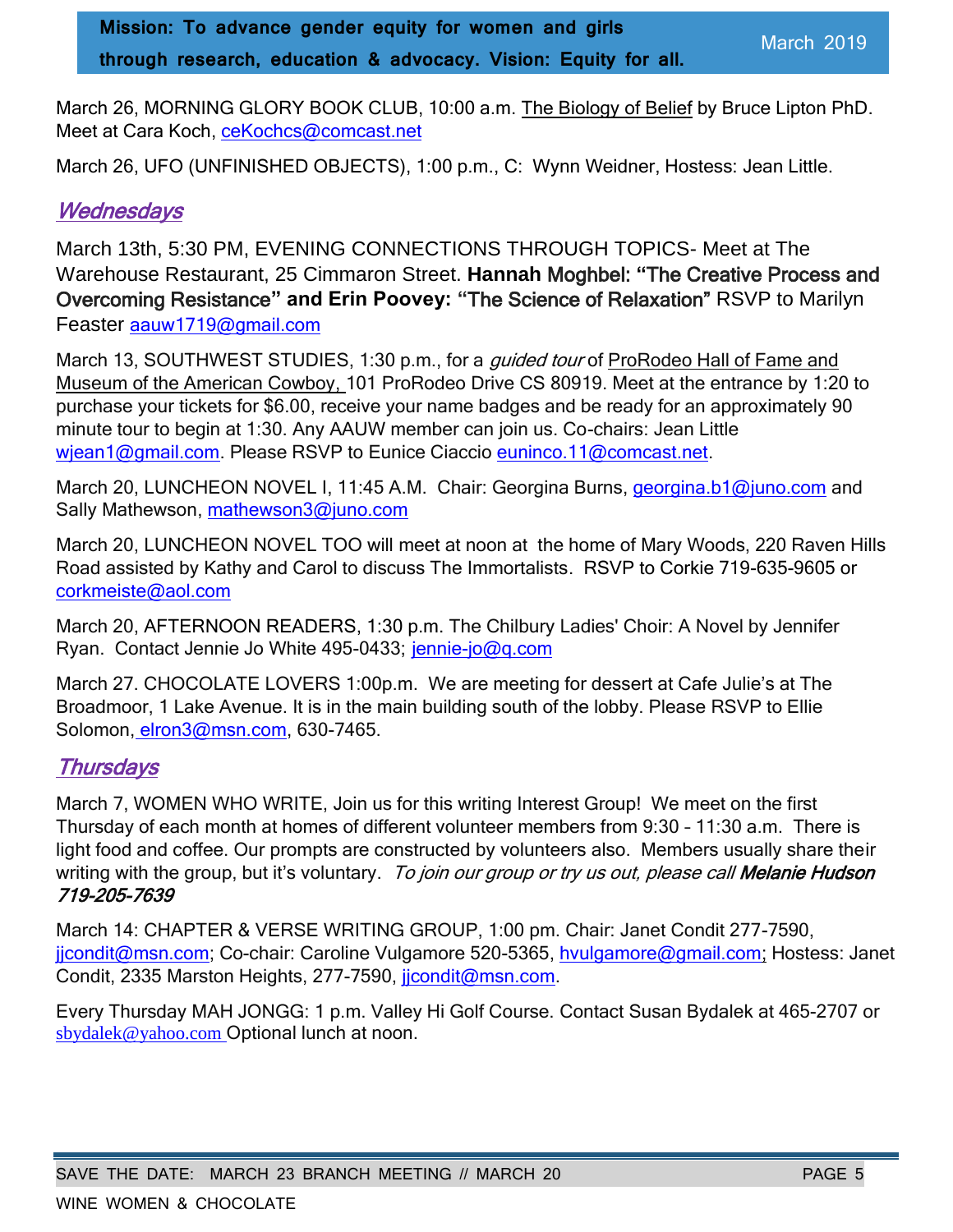March 26, MORNING GLORY BOOK CLUB, 10:00 a.m. The Biology of Belief by Bruce Lipton PhD. Meet at Cara Koch, ceKochcs@comcast.net

March 26, UFO (UNFINISHED OBJECTS), 1:00 p.m., C: Wynn Weidner, Hostess: Jean Little.

# **Wednesdays**

March 13th, 5:30 PM, EVENING CONNECTIONS THROUGH TOPICS- Meet at The Warehouse Restaurant, 25 Cimmaron Street. **Hannah** Moghbel: **"**The Creative Process and Overcoming Resistance**" and Erin Poovey: "**The Science of Relaxation" RSVP to Marilyn Feaster aauw1719@gmail.com

March 13, SOUTHWEST STUDIES, 1:30 p.m., for a *quided tour* of ProRodeo Hall of Fame and Museum of the American Cowboy, 101 ProRodeo Drive CS 80919. Meet at the entrance by 1:20 to purchase your tickets for \$6.00, receive your name badges and be ready for an approximately 90 minute tour to begin at 1:30. Any AAUW member can join us. Co-chairs: Jean Little wiean1@gmail.com. Please RSVP to Eunice Ciaccio [euninco.11@comcast.net.](mailto:euninco.11@comcast.net)

March 20, LUNCHEON NOVEL I, 11:45 A.M. Chair: Georgina Burns, [georgina.b1@juno.com](file:///C:/Users/grosslf/Documents/AAUW/Newsletter/Nov%202018/georgina.b1@juno.com) and Sally Mathewson, [mathewson3@juno.com](mailto:mathewson3@juno.com)

March 20, LUNCHEON NOVEL TOO will meet at noon at the home of Mary Woods, 220 Raven Hills Road assisted by Kathy and Carol to discuss The Immortalists. RSVP to Corkie 719-635-9605 or corkmeiste@aol.com

March 20, AFTERNOON READERS, 1:30 p.m. The Chilbury Ladies' Choir: A Novel by Jennifer Ryan. Contact Jennie Jo White 495-0433; jennie-jo@q.com

March 27. CHOCOLATE LOVERS 1:00p.m. We are meeting for dessert at Cafe Julie's at The Broadmoor, 1 Lake Avenue. It is in the main building south of the lobby. Please RSVP to Ellie Solomon, elron3@msn.com, 630-7465.

# **Thursdays**

March 7, WOMEN WHO WRITE, Join us for this writing Interest Group! We meet on the first Thursday of each month at homes of different volunteer members from 9:30 – 11:30 a.m. There is light food and coffee. Our prompts are constructed by volunteers also. Members usually share their writing with the group, but it's voluntary. To join our group or try us out, please call Melanie Hudson 719-205-7639

March 14: CHAPTER & VERSE WRITING GROUP, 1:00 pm. Chair: Janet Condit 277-7590, jicondit@msn.com; Co-chair: Caroline Vulgamore 520-5365, hvulgamore@gmail.com; Hostess: Janet Condit, 2335 Marston Heights, 277-7590, [jjcondit@msn.com.](mailto:jjcondit@msn.com)

Every Thursday MAH JONGG: 1 p.m. Valley Hi Golf Course. Contact Susan Bydalek at 465-2707 or [sbydalek@yahoo.com](mailto:sbydalek@yahoo.com) Optional lunch at noon.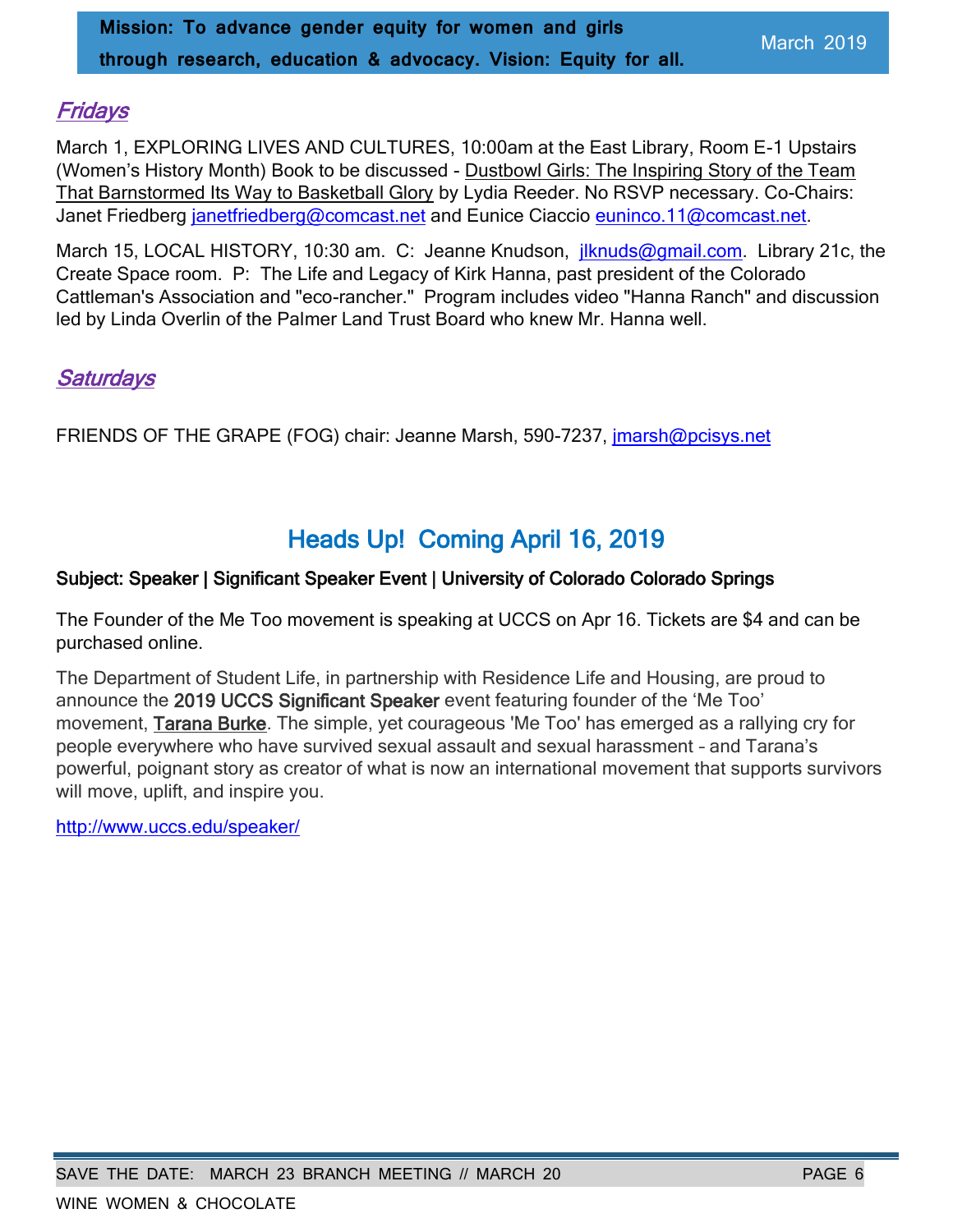#### **Fridays**

March 1, EXPLORING LIVES AND CULTURES, 10:00am at the East Library, Room E-1 Upstairs (Women's History Month) Book to be discussed - Dustbowl Girls: The Inspiring Story of the Team That Barnstormed Its Way to Basketball Glory by Lydia Reeder. No RSVP necessary. Co-Chairs: Janet Friedberg [janetfriedberg@comcast.net](mailto:janetfriedberg@comcast.net) and Eunice Ciaccio [euninco.11@comcast.net.](mailto:euninco.11@comcast.net)

March 15, LOCAL HISTORY, 10:30 am. C: Jeanne Knudson, *[jlknuds@gmail.com.](mailto:jlknuds@gmail.com)* Library 21c, the Create Space room. P: The Life and Legacy of Kirk Hanna, past president of the Colorado Cattleman's Association and "eco-rancher." Program includes video "Hanna Ranch" and discussion led by Linda Overlin of the Palmer Land Trust Board who knew Mr. Hanna well.

#### **Saturdays**

FRIENDS OF THE GRAPE (FOG) chair: Jeanne Marsh, 590-7237, [jmarsh@pcisys.net](mailto:jmarsh@pcisys.net)

# Heads Up! Coming April 16, 2019

#### Subject: Speaker | Significant Speaker Event | University of Colorado Colorado Springs

The Founder of the Me Too movement is speaking at UCCS on Apr 16. Tickets are \$4 and can be purchased online.

The Department of Student Life, in partnership with Residence Life and Housing, are proud to announce the 2019 UCCS Significant Speaker event featuring founder of the 'Me Too' movement, Tarana Burke. The simple, yet courageous 'Me Too' has emerged as a rallying cry for people everywhere who have survived sexual assault and sexual harassment – and Tarana's powerful, poignant story as creator of what is now an international movement that supports survivors will move, uplift, and inspire you.

[http://www.uccs.edu/speaker/](https://eur01.safelinks.protection.outlook.com/?url=http%3A%2F%2Fwww.uccs.edu%2Fspeaker%2F&data=02%7C01%7C%7Cda3f283174d740014e1308d698eab5a6%7C84df9e7fe9f640afb435aaaaaaaaaaaa%7C1%7C0%7C636864531164127653&sdata=Cp6o2FfFs9wdoCXvUJrfJoNxE49cNTQKle8C%2BKr1oV4%3D&reserved=0)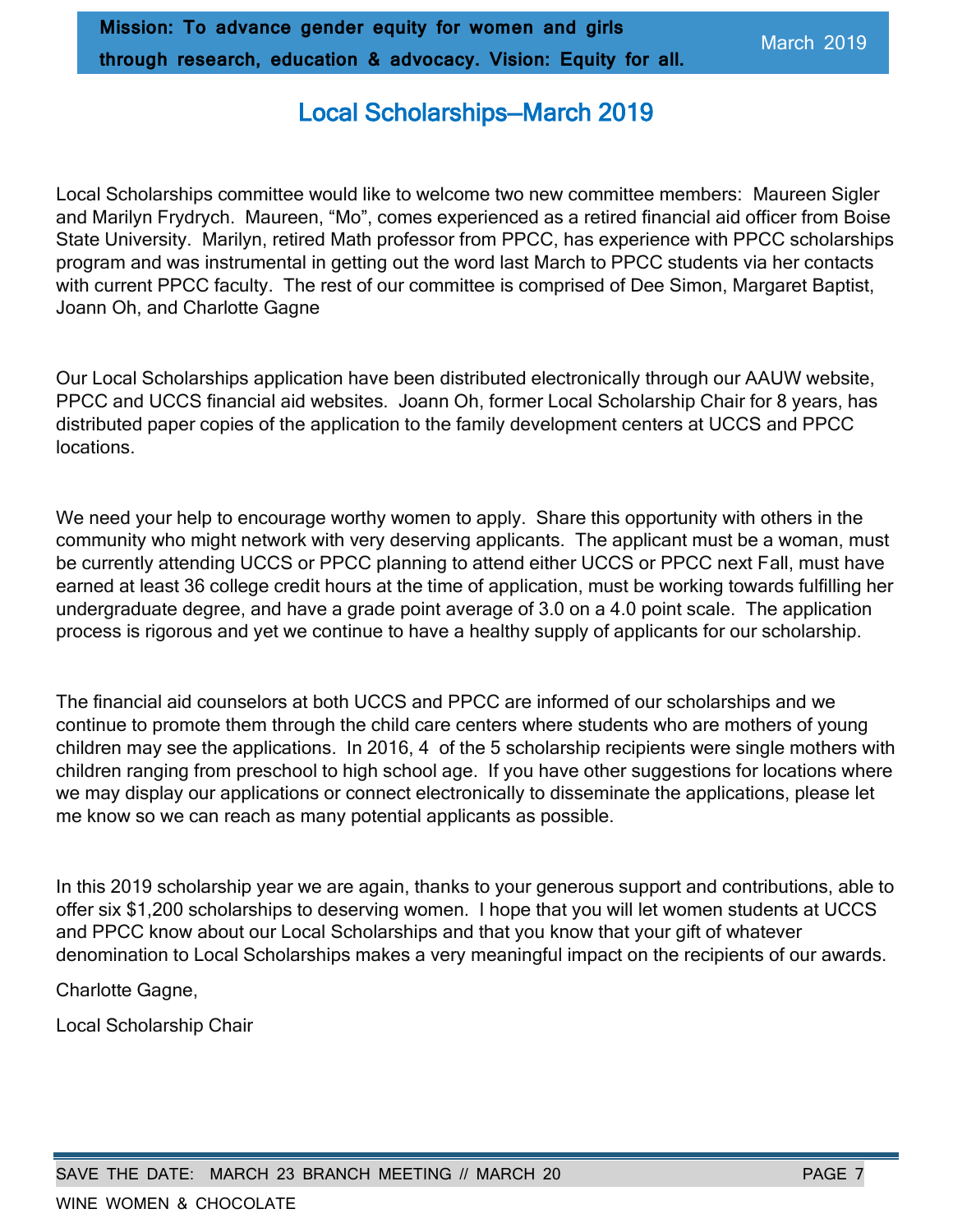# Local Scholarships—March 2019

Local Scholarships committee would like to welcome two new committee members: Maureen Sigler and Marilyn Frydrych. Maureen, "Mo", comes experienced as a retired financial aid officer from Boise State University. Marilyn, retired Math professor from PPCC, has experience with PPCC scholarships program and was instrumental in getting out the word last March to PPCC students via her contacts with current PPCC faculty. The rest of our committee is comprised of Dee Simon, Margaret Baptist, Joann Oh, and Charlotte Gagne

Our Local Scholarships application have been distributed electronically through our AAUW website, PPCC and UCCS financial aid websites. Joann Oh, former Local Scholarship Chair for 8 years, has distributed paper copies of the application to the family development centers at UCCS and PPCC locations.

We need your help to encourage worthy women to apply. Share this opportunity with others in the community who might network with very deserving applicants. The applicant must be a woman, must be currently attending UCCS or PPCC planning to attend either UCCS or PPCC next Fall, must have earned at least 36 college credit hours at the time of application, must be working towards fulfilling her undergraduate degree, and have a grade point average of 3.0 on a 4.0 point scale. The application process is rigorous and yet we continue to have a healthy supply of applicants for our scholarship.

The financial aid counselors at both UCCS and PPCC are informed of our scholarships and we continue to promote them through the child care centers where students who are mothers of young children may see the applications. In 2016, 4 of the 5 scholarship recipients were single mothers with children ranging from preschool to high school age. If you have other suggestions for locations where we may display our applications or connect electronically to disseminate the applications, please let me know so we can reach as many potential applicants as possible.

In this 2019 scholarship year we are again, thanks to your generous support and contributions, able to offer six \$1,200 scholarships to deserving women. I hope that you will let women students at UCCS and PPCC know about our Local Scholarships and that you know that your gift of whatever denomination to Local Scholarships makes a very meaningful impact on the recipients of our awards.

Charlotte Gagne,

Local Scholarship Chair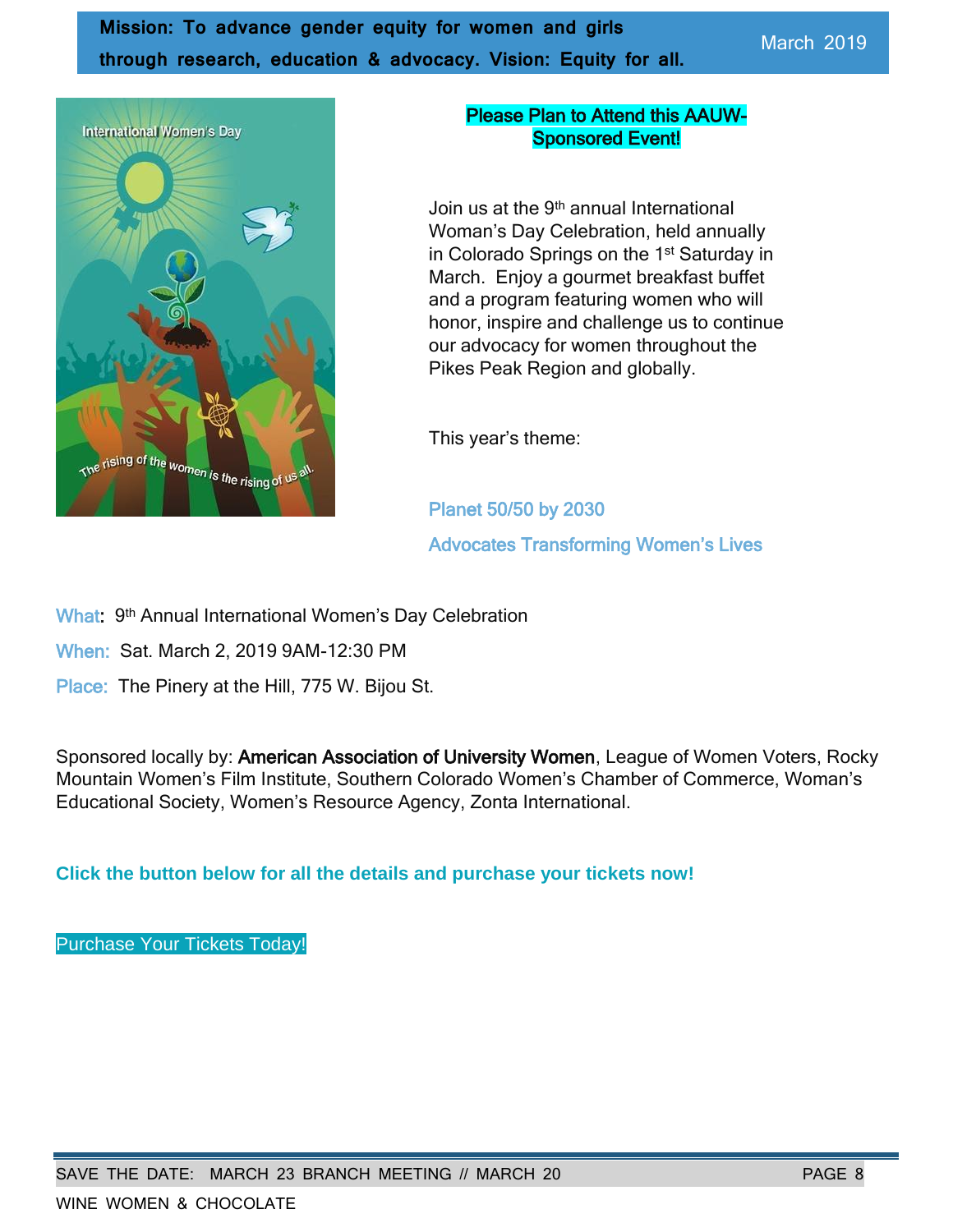**Mission: To advance gender equity for women and girls through research, education & advocacy. Vision: Equity for all.**



#### Please Plan to Attend this AAUW-Sponsored Event!

Join us at the 9<sup>th</sup> annual International Woman's Day Celebration, held annually in Colorado Springs on the 1<sup>st</sup> Saturday in March. Enjoy a gourmet breakfast buffet and a program featuring women who will honor, inspire and challenge us to continue our advocacy for women throughout the Pikes Peak Region and globally.

This year's theme:

Planet 50/50 by 2030 Advocates Transforming Women's Lives

What: 9<sup>th</sup> Annual International Women's Day Celebration

When: Sat. March 2, 2019 9AM-12:30 PM

Place: The Pinery at the Hill, 775 W. Bijou St.

Sponsored locally by: American Association of University Women, League of Women Voters, Rocky Mountain Women's Film Institute, Southern Colorado Women's Chamber of Commerce, Woman's Educational Society, Women's Resource Agency, Zonta International.

**Click the button below for all the details and purchase your tickets now!**

[Purchase Your Tickets Today!](http://r20.rs6.net/tn.jsp?f=001Fht-l6SYlE3V5TbDmwxb8Rze1ef0eRG2BDaaKBpyAPKvrCSVe6yg8XSprrYv6xkWbdiIKgsujdd6Plk1cX3uI2SUbtpD92NpTBow6HF3DF9UM9jg_bNmG3Gvw44rlRdIF70vMpoItu5P1XbFn3tD6UiAh_vFeh4BO3k6HxHGTggU09klOKSaO8nXW73P7i4l&c=u4TtxXcKjJgeIfao4A5mzO1YJu-TbEvkLVpCzwt2Oqw6Z2C_50Hdvw==&ch=oGRBKSnDxLBVA2D-rLrtB5CqQit7Nxbg1tYxGEUdkn2tWleV_0PvNw==)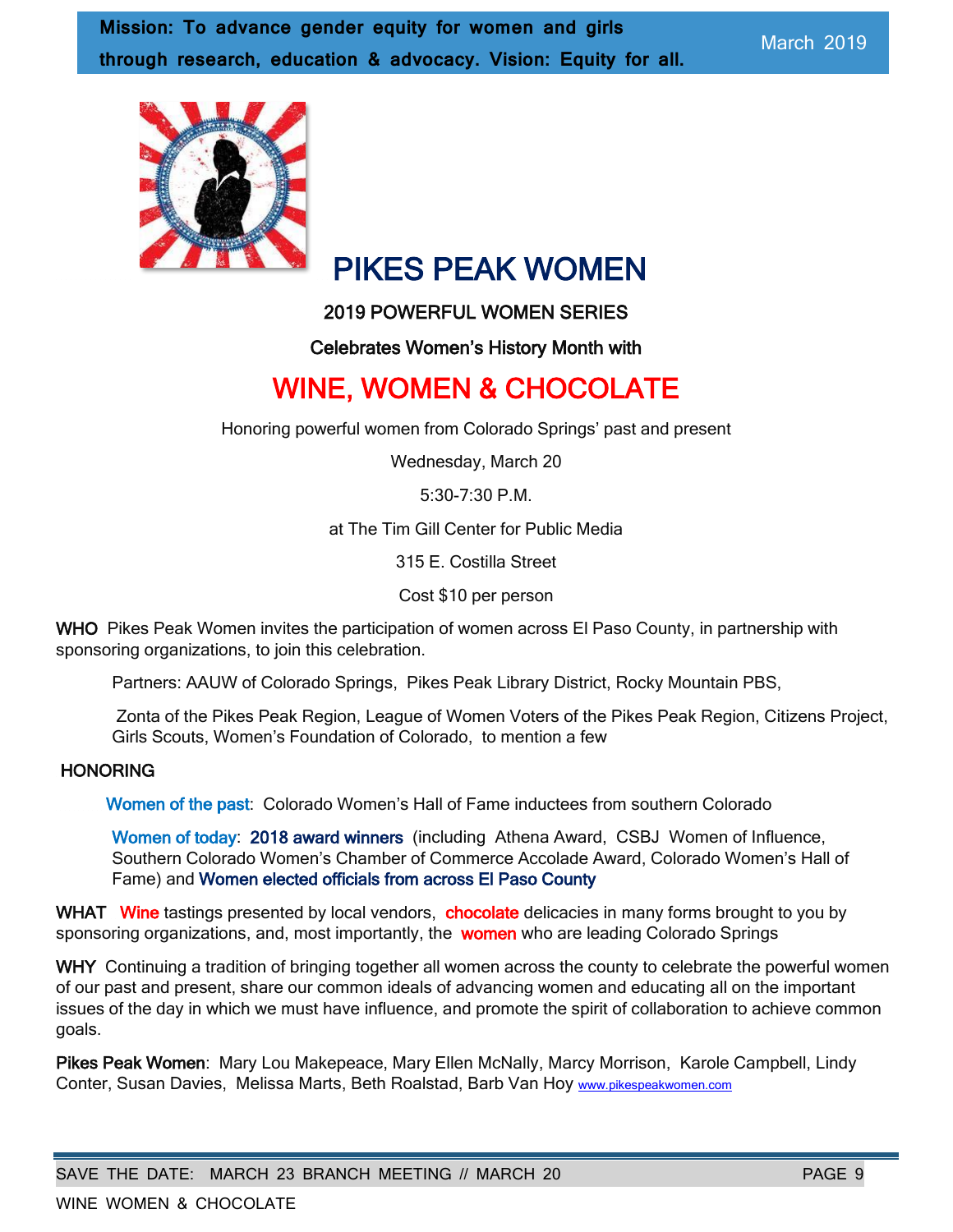

# PIKES PEAK WOMEN

#### 2019 POWERFUL WOMEN SERIES

Celebrates Women's History Month with

# WINE, WOMEN & CHOCOLATE

Honoring powerful women from Colorado Springs' past and present

Wednesday, March 20

5:30-7:30 P.M.

at The Tim Gill Center for Public Media

315 E. Costilla Street

Cost \$10 per person

WHO Pikes Peak Women invites the participation of women across El Paso County, in partnership with sponsoring organizations, to join this celebration.

Partners: AAUW of Colorado Springs, Pikes Peak Library District, Rocky Mountain PBS,

Zonta of the Pikes Peak Region, League of Women Voters of the Pikes Peak Region, Citizens Project, Girls Scouts, Women's Foundation of Colorado, to mention a few

#### **HONORING**

Women of the past: Colorado Women's Hall of Fame inductees from southern Colorado

Women of today: 2018 award winners (including Athena Award, CSBJ Women of Influence, Southern Colorado Women's Chamber of Commerce Accolade Award, Colorado Women's Hall of Fame) and Women elected officials from across El Paso County

WHAT Wine tastings presented by local vendors, chocolate delicacies in many forms brought to you by sponsoring organizations, and, most importantly, the women who are leading Colorado Springs

WHY Continuing a tradition of bringing together all women across the county to celebrate the powerful women of our past and present, share our common ideals of advancing women and educating all on the important issues of the day in which we must have influence, and promote the spirit of collaboration to achieve common goals.

Pikes Peak Women: Mary Lou Makepeace, Mary Ellen McNally, Marcy Morrison, Karole Campbell, Lindy Conter, Susan Davies, Melissa Marts, Beth Roalstad, Barb Van Hoy [www.pikespeakwomen.com](http://www.pikespeakwomen.com/)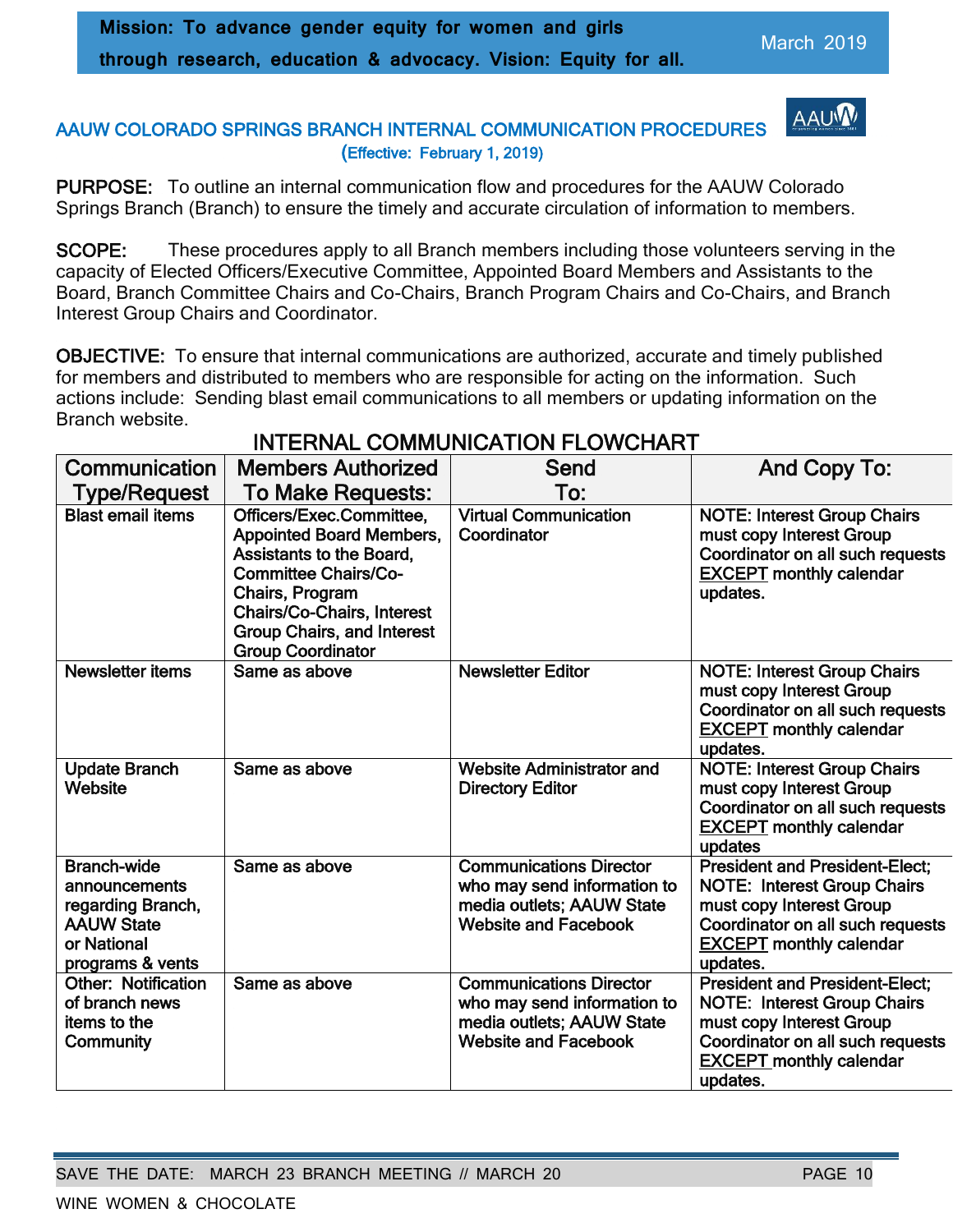AAUV

#### AAUW COLORADO SPRINGS BRANCH INTERNAL COMMUNICATION PROCEDURES (Effective: February 1, 2019)

PURPOSE: To outline an internal communication flow and procedures for the AAUW Colorado Springs Branch (Branch) to ensure the timely and accurate circulation of information to members.

SCOPE: These procedures apply to all Branch members including those volunteers serving in the capacity of Elected Officers/Executive Committee, Appointed Board Members and Assistants to the Board, Branch Committee Chairs and Co-Chairs, Branch Program Chairs and Co-Chairs, and Branch Interest Group Chairs and Coordinator.

OBJECTIVE: To ensure that internal communications are authorized, accurate and timely published for members and distributed to members who are responsible for acting on the information. Such actions include: Sending blast email communications to all members or updating information on the Branch website.

| Communication                                                                                                    | <b>Members Authorized</b>                                                                                                                                                                                                                              | Send                                                                                                                      | And Copy To:                                                                                                                                                                              |
|------------------------------------------------------------------------------------------------------------------|--------------------------------------------------------------------------------------------------------------------------------------------------------------------------------------------------------------------------------------------------------|---------------------------------------------------------------------------------------------------------------------------|-------------------------------------------------------------------------------------------------------------------------------------------------------------------------------------------|
| Type/Request                                                                                                     | <b>To Make Requests:</b>                                                                                                                                                                                                                               | To:                                                                                                                       |                                                                                                                                                                                           |
| <b>Blast email items</b>                                                                                         | Officers/Exec.Committee,<br><b>Appointed Board Members,</b><br><b>Assistants to the Board,</b><br><b>Committee Chairs/Co-</b><br>Chairs, Program<br><b>Chairs/Co-Chairs, Interest</b><br><b>Group Chairs, and Interest</b><br><b>Group Coordinator</b> | <b>Virtual Communication</b><br>Coordinator                                                                               | <b>NOTE: Interest Group Chairs</b><br>must copy Interest Group<br>Coordinator on all such requests<br><b>EXCEPT</b> monthly calendar<br>updates.                                          |
| <b>Newsletter items</b>                                                                                          | Same as above                                                                                                                                                                                                                                          | <b>Newsletter Editor</b>                                                                                                  | <b>NOTE: Interest Group Chairs</b><br>must copy Interest Group<br>Coordinator on all such requests<br><b>EXCEPT monthly calendar</b><br>updates.                                          |
| <b>Update Branch</b><br>Website                                                                                  | Same as above                                                                                                                                                                                                                                          | <b>Website Administrator and</b><br><b>Directory Editor</b>                                                               | <b>NOTE: Interest Group Chairs</b><br>must copy Interest Group<br>Coordinator on all such requests<br><b>EXCEPT</b> monthly calendar<br>updates                                           |
| <b>Branch-wide</b><br>announcements<br>regarding Branch,<br><b>AAUW State</b><br>or National<br>programs & vents | Same as above                                                                                                                                                                                                                                          | <b>Communications Director</b><br>who may send information to<br>media outlets; AAUW State<br><b>Website and Facebook</b> | <b>President and President-Elect;</b><br><b>NOTE: Interest Group Chairs</b><br>must copy Interest Group<br>Coordinator on all such requests<br><b>EXCEPT</b> monthly calendar<br>updates. |
| <b>Other: Notification</b><br>of branch news<br>items to the<br>Community                                        | Same as above                                                                                                                                                                                                                                          | <b>Communications Director</b><br>who may send information to<br>media outlets; AAUW State<br><b>Website and Facebook</b> | <b>President and President-Elect;</b><br><b>NOTE: Interest Group Chairs</b><br>must copy Interest Group<br>Coordinator on all such requests<br><b>EXCEPT</b> monthly calendar<br>updates. |

# INTERNAL COMMUNICATION FLOWCHART